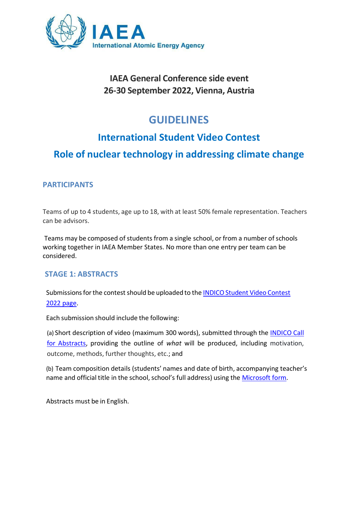

## **IAEA General Conference side event 26-30 September 2022, Vienna, Austria**

# **GUIDELINES**

## **International Student Video Contest**

## **Role of nuclear technology in addressing climate change**

### **PARTICIPANTS**

Teams of up to 4 students, age up to 18, with at least 50% female representation. Teachers can be advisors.

Teams may be composed of students from a single school, or from a number of schools working together in IAEA Member States. No more than one entry per team can be considered.

#### **STAGE 1: ABSTRACTS**

Submissions for the contest should be uploaded to the INDICO Student Video Contest 2022 [page.](https://conferences.iaea.org/event/274/abstracts/)

Each submission should include the following:

(a) Short description of video (maximum 300 words), submitted through the [INDICO Call](https://conferences.iaea.org/event/274/abstracts/) [for Abstracts,](https://conferences.iaea.org/event/274/abstracts/) providing the outline of *what* will be produced, including motivation, outcome, methods, further thoughts, etc.; and

(b) Team composition details (students' names and date of birth, accompanying teacher's name and official title in the school, school's full address) using the [Microsoft](https://forms.office.com/pages/responsepage.aspx?id=kxTyotGkf0utB4Gcgk9cSqnjvX5LP-tBsYgY-BFbgcVUQ0dTQlRLSjhJTEFKOFlQS0k5UldJNzdKUS4u) form.

Abstracts must be in English.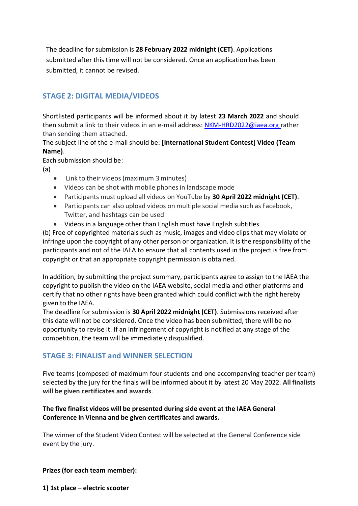The deadline for submission is **28 February 2022 midnight (CET)**. Applications submitted after this time will not be considered. Once an application has been submitted, it cannot be revised.

### **STAGE 2: DIGITAL MEDIA/VIDEOS**

Shortlisted participants will be informed about it by latest **23 March 2022** and should then submit a link to their videos in an e-mail address: [NKM-HRD2022@iaea.org r](mailto:NKM-HRD2022@iaea.org)ather than sending them attached.

The subject line of the e-mail should be: **[International Student Contest] Video (Team Name)**.

Each submission should be:

(a)

- Link to their videos (maximum 3 minutes)
- Videos can be shot with mobile phones in landscape mode
- Participants must upload all videos on YouTube by **30 April 2022 midnight (CET)**.
- Participants can also upload videos on multiple social media such as Facebook, Twitter, and hashtags can be used
- Videos in a language other than English must have English subtitles

(b) Free of copyrighted materials such as music, images and video clips that may violate or infringe upon the copyright of any other person or organization. It is the responsibility of the participants and not of the IAEA to ensure that all contents used in the project is free from copyright or that an appropriate copyright permission is obtained.

In addition, by submitting the project summary, participants agree to assign to the IAEA the copyright to publish the video on the IAEA website, social media and other platforms and certify that no other rights have been granted which could conflict with the right hereby given to the IAEA.

The deadline for submission is **30 April 2022 midnight (CET)**. Submissions received after this date will not be considered. Once the video has been submitted, there will be no opportunity to revise it. If an infringement of copyright is notified at any stage of the competition, the team will be immediately disqualified.

### **STAGE 3: FINALIST and WINNER SELECTION**

Five teams (composed of maximum four students and one accompanying teacher per team) selected by the jury for the finals will be informed about it by latest 20 May 2022. **All finalists will be given certificates and awards**.

#### **The five finalist videos will be presented during side event at the IAEA General Conference in Vienna and be given certificates and awards.**

The winner of the Student Video Contest will be selected at the General Conference side event by the jury.

#### **Prizes (for each team member):**

**1) 1st place – electric scooter**